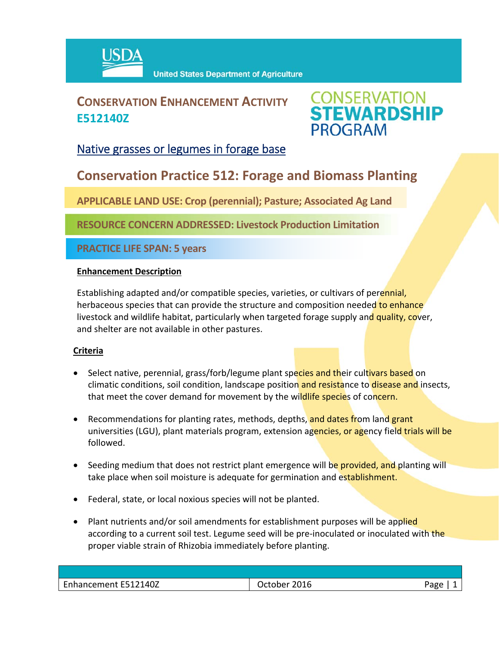

## **CONSERVATION ENHANCEMENT ACTIVITY E512140Z**



### Native grasses or legumes in forage base

## **Conservation Practice 512: Forage and Biomass Planting**

**APPLICABLE LAND USE: Crop (perennial); Pasture; Associated Ag Land**

**RESOURCE CONCERN ADDRESSED: Livestock Production Limitation**

**PRACTICE LIFE SPAN: 5 years**

#### **Enhancement Description**

Establishing adapted and/or compatible species, varieties, or cultivars of perennial, herbaceous species that can provide the structure and composition needed to enhance livestock and wildlife habitat, particularly when targeted forage supply and quality, cover, and shelter are not available in other pastures.

#### **Criteria**

- Select native, perennial, grass/forb/legume plant species and their cultivars based on climatic conditions, soil condition, landscape position and resistance to disease and insects, that meet the cover demand for movement by the wildlife species of concern.
- Recommendations for planting rates, methods, depths, and dates from land grant universities (LGU), plant materials program, extension agencies, or agency field trials will be followed.
- Seeding medium that does not restrict plant emergence will be provided, and planting will take place when soil moisture is adequate for germination and establishment.
- Federal, state, or local noxious species will not be planted.
- Plant nutrients and/or soil amendments for establishment purposes will be applied according to a current soil test. Legume seed will be pre-inoculated or inoculated with the proper viable strain of Rhizobia immediately before planting.

| E512140Z         | 2016   | Aמג |
|------------------|--------|-----|
| Enhancement E51. | rtohor | ∽ວ  |